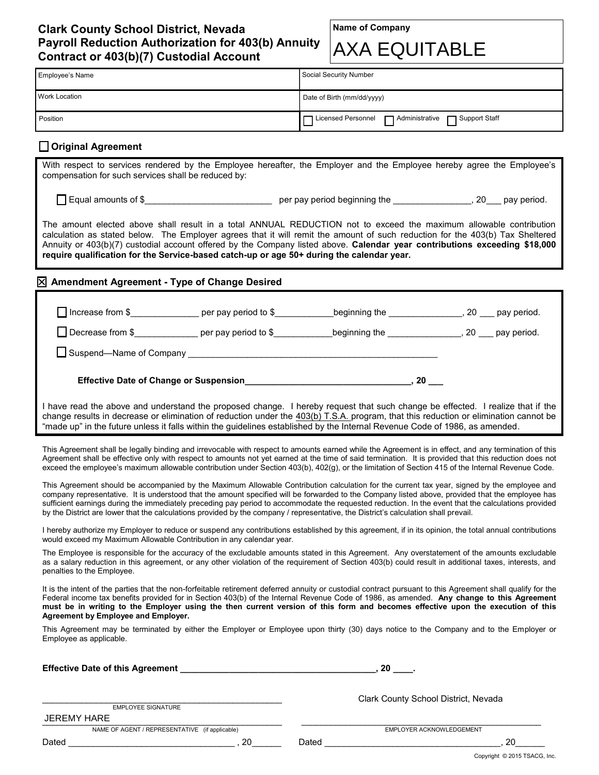| <b>Clark County School District, Nevada</b><br><b>Payroll Reduction Authorization for 403(b) Annuity</b><br><b>Contract or 403(b)(7) Custodial Account</b>                                                                                                                                                                                                                                                                                                                                                                                                                                    | <b>Name of Company</b><br><b>AXA EQUITABLE</b>                                                                                                                                                                                                                                                                |  |  |  |  |
|-----------------------------------------------------------------------------------------------------------------------------------------------------------------------------------------------------------------------------------------------------------------------------------------------------------------------------------------------------------------------------------------------------------------------------------------------------------------------------------------------------------------------------------------------------------------------------------------------|---------------------------------------------------------------------------------------------------------------------------------------------------------------------------------------------------------------------------------------------------------------------------------------------------------------|--|--|--|--|
| Employee's Name                                                                                                                                                                                                                                                                                                                                                                                                                                                                                                                                                                               | Social Security Number                                                                                                                                                                                                                                                                                        |  |  |  |  |
| <b>Work Location</b>                                                                                                                                                                                                                                                                                                                                                                                                                                                                                                                                                                          | Date of Birth (mm/dd/yyyy)                                                                                                                                                                                                                                                                                    |  |  |  |  |
| Position                                                                                                                                                                                                                                                                                                                                                                                                                                                                                                                                                                                      | Licensed Personnel   Administrative   Support Staff                                                                                                                                                                                                                                                           |  |  |  |  |
| □ Original Agreement                                                                                                                                                                                                                                                                                                                                                                                                                                                                                                                                                                          |                                                                                                                                                                                                                                                                                                               |  |  |  |  |
| With respect to services rendered by the Employee hereafter, the Employer and the Employee hereby agree the Employee's<br>compensation for such services shall be reduced by:                                                                                                                                                                                                                                                                                                                                                                                                                 |                                                                                                                                                                                                                                                                                                               |  |  |  |  |
|                                                                                                                                                                                                                                                                                                                                                                                                                                                                                                                                                                                               | Equal amounts of \$                                                                                                                                                                                                                                                                                           |  |  |  |  |
| The amount elected above shall result in a total ANNUAL REDUCTION not to exceed the maximum allowable contribution<br>calculation as stated below. The Employer agrees that it will remit the amount of such reduction for the 403(b) Tax Sheltered<br>Annuity or 403(b)(7) custodial account offered by the Company listed above. Calendar year contributions exceeding \$18,000<br>require qualification for the Service-based catch-up or age 50+ during the calendar year.                                                                                                                |                                                                                                                                                                                                                                                                                                               |  |  |  |  |
| $\boxtimes$ Amendment Agreement - Type of Change Desired                                                                                                                                                                                                                                                                                                                                                                                                                                                                                                                                      |                                                                                                                                                                                                                                                                                                               |  |  |  |  |
| Increase from \$                                                                                                                                                                                                                                                                                                                                                                                                                                                                                                                                                                              |                                                                                                                                                                                                                                                                                                               |  |  |  |  |
| Decrease from \$ per pay period to \$ beginning the 5.50 pay period.                                                                                                                                                                                                                                                                                                                                                                                                                                                                                                                          |                                                                                                                                                                                                                                                                                                               |  |  |  |  |
|                                                                                                                                                                                                                                                                                                                                                                                                                                                                                                                                                                                               |                                                                                                                                                                                                                                                                                                               |  |  |  |  |
|                                                                                                                                                                                                                                                                                                                                                                                                                                                                                                                                                                                               |                                                                                                                                                                                                                                                                                                               |  |  |  |  |
| I have read the above and understand the proposed change. I hereby request that such change be effected. I realize that if the<br>change results in decrease or elimination of reduction under the 403(b) T.S.A. program, that this reduction or elimination cannot be<br>"made up" in the future unless it falls within the guidelines established by the Internal Revenue Code of 1986, as amended.                                                                                                                                                                                         |                                                                                                                                                                                                                                                                                                               |  |  |  |  |
| exceed the employee's maximum allowable contribution under Section 403(b), 402(g), or the limitation of Section 415 of the Internal Revenue Code.                                                                                                                                                                                                                                                                                                                                                                                                                                             | This Agreement shall be legally binding and irrevocable with respect to amounts earned while the Agreement is in effect, and any termination of this<br>Agreement shall be effective only with respect to amounts not yet earned at the time of said termination. It is provided that this reduction does not |  |  |  |  |
| This Agreement should be accompanied by the Maximum Allowable Contribution calculation for the current tax year, signed by the employee and<br>company representative. It is understood that the amount specified will be forwarded to the Company listed above, provided that the employee has<br>sufficient earnings during the immediately preceding pay period to accommodate the requested reduction. In the event that the calculations provided<br>by the District are lower that the calculations provided by the company / representative, the District's calculation shall prevail. |                                                                                                                                                                                                                                                                                                               |  |  |  |  |
| I hereby authorize my Employer to reduce or suspend any contributions established by this agreement, if in its opinion, the total annual contributions<br>would exceed my Maximum Allowable Contribution in any calendar year.                                                                                                                                                                                                                                                                                                                                                                |                                                                                                                                                                                                                                                                                                               |  |  |  |  |
| The Employee is responsible for the accuracy of the excludable amounts stated in this Agreement. Any overstatement of the amounts excludable<br>as a salary reduction in this agreement, or any other violation of the requirement of Section 403(b) could result in additional taxes, interests, and<br>penalties to the Employee.                                                                                                                                                                                                                                                           |                                                                                                                                                                                                                                                                                                               |  |  |  |  |
| It is the intent of the parties that the non-forfeitable retirement deferred annuity or custodial contract pursuant to this Agreement shall qualify for the<br>Federal income tax benefits provided for in Section 403(b) of the Internal Revenue Code of 1986, as amended. Any change to this Agreement<br>must be in writing to the Employer using the then current version of this form and becomes effective upon the execution of this<br>Agreement by Employee and Employer.                                                                                                            |                                                                                                                                                                                                                                                                                                               |  |  |  |  |
| This Agreement may be terminated by either the Employer or Employee upon thirty (30) days notice to the Company and to the Employer or<br>Employee as applicable.                                                                                                                                                                                                                                                                                                                                                                                                                             |                                                                                                                                                                                                                                                                                                               |  |  |  |  |
| $\overline{.}$ , 20 $\overline{\phantom{0}}$ .                                                                                                                                                                                                                                                                                                                                                                                                                                                                                                                                                |                                                                                                                                                                                                                                                                                                               |  |  |  |  |
| <b>EMPLOYEE SIGNATURE</b><br><b>JEREMY HARE</b>                                                                                                                                                                                                                                                                                                                                                                                                                                                                                                                                               | Clark County School District, Nevada                                                                                                                                                                                                                                                                          |  |  |  |  |

EMPLOYEE SIGNATURE \_\_\_\_\_\_\_\_\_\_\_\_\_\_\_\_\_\_\_\_\_\_\_\_\_\_\_\_\_\_\_\_\_\_\_\_\_\_\_\_\_\_\_\_\_\_\_\_\_ \_\_\_\_\_\_\_\_\_\_\_\_\_\_\_\_\_\_\_\_\_\_\_\_\_\_\_\_\_\_\_\_\_\_\_\_\_\_\_\_\_\_\_\_\_\_\_\_\_ NAME OF AGENT / REPRESENTATIVE (if applicable) EMPLOYER ACKNOWLEDGEMENT